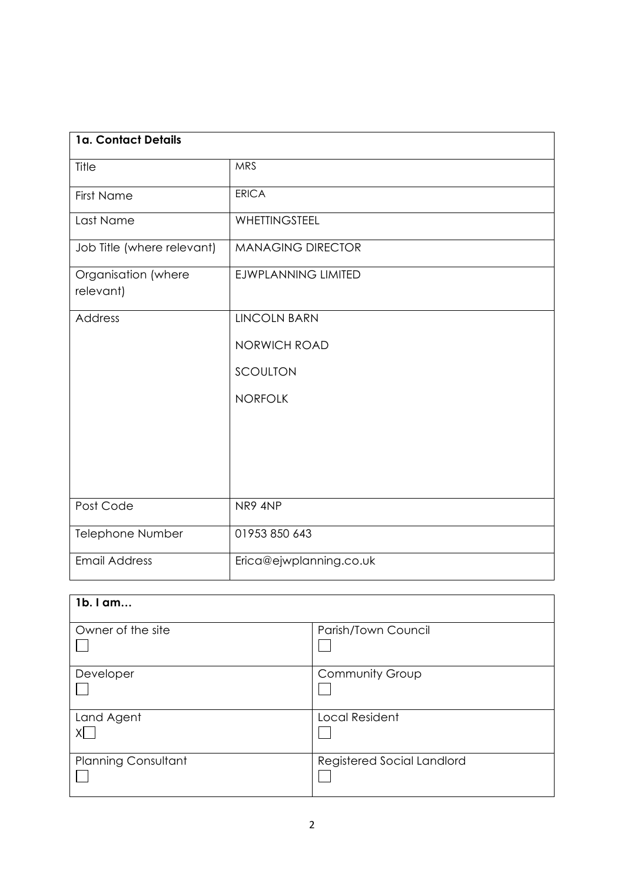| 1a. Contact Details              |                            |
|----------------------------------|----------------------------|
| Title                            | <b>MRS</b>                 |
| <b>First Name</b>                | <b>ERICA</b>               |
| Last Name                        | WHETTINGSTEEL              |
| Job Title (where relevant)       | <b>MANAGING DIRECTOR</b>   |
| Organisation (where<br>relevant) | <b>EJWPLANNING LIMITED</b> |
| Address                          | <b>LINCOLN BARN</b>        |
|                                  | <b>NORWICH ROAD</b>        |
|                                  | SCOULTON                   |
|                                  | <b>NORFOLK</b>             |
|                                  |                            |
|                                  |                            |
|                                  |                            |
| Post Code                        | NR9 4NP                    |
| Telephone Number                 | 01953 850 643              |
| <b>Email Address</b>             | Erica@ejwplanning.co.uk    |

| $1b.1$ am                  |                            |
|----------------------------|----------------------------|
| Owner of the site          | Parish/Town Council        |
| Developer                  | <b>Community Group</b>     |
| Land Agent                 | <b>Local Resident</b>      |
| <b>Planning Consultant</b> | Registered Social Landlord |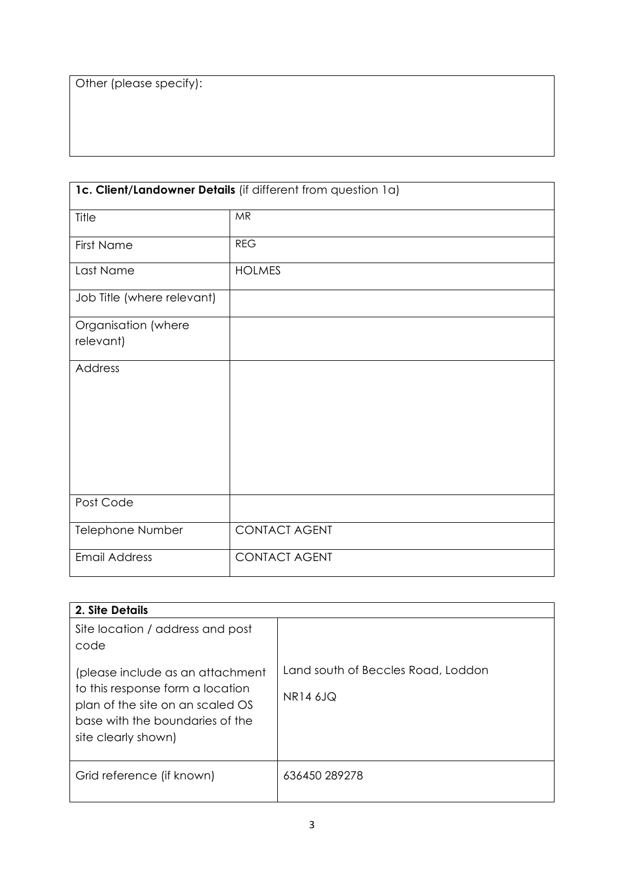Other (please specify):

| 1c. Client/Landowner Details (if different from question 1a) |                      |  |
|--------------------------------------------------------------|----------------------|--|
| Title                                                        | <b>MR</b>            |  |
| <b>First Name</b>                                            | <b>REG</b>           |  |
| Last Name                                                    | <b>HOLMES</b>        |  |
| Job Title (where relevant)                                   |                      |  |
| Organisation (where<br>relevant)                             |                      |  |
| Address                                                      |                      |  |
| Post Code                                                    |                      |  |
| Telephone Number                                             | <b>CONTACT AGENT</b> |  |
| <b>Email Address</b>                                         | <b>CONTACT AGENT</b> |  |

| 2. Site Details                                                                                                                |                                    |
|--------------------------------------------------------------------------------------------------------------------------------|------------------------------------|
| Site location / address and post<br>code                                                                                       |                                    |
| (please include as an attachment                                                                                               | Land south of Beccles Road, Loddon |
| to this response form a location<br>plan of the site on an scaled OS<br>base with the boundaries of the<br>site clearly shown) | NR14 6JQ                           |
| Grid reference (if known)                                                                                                      | 636450 289278                      |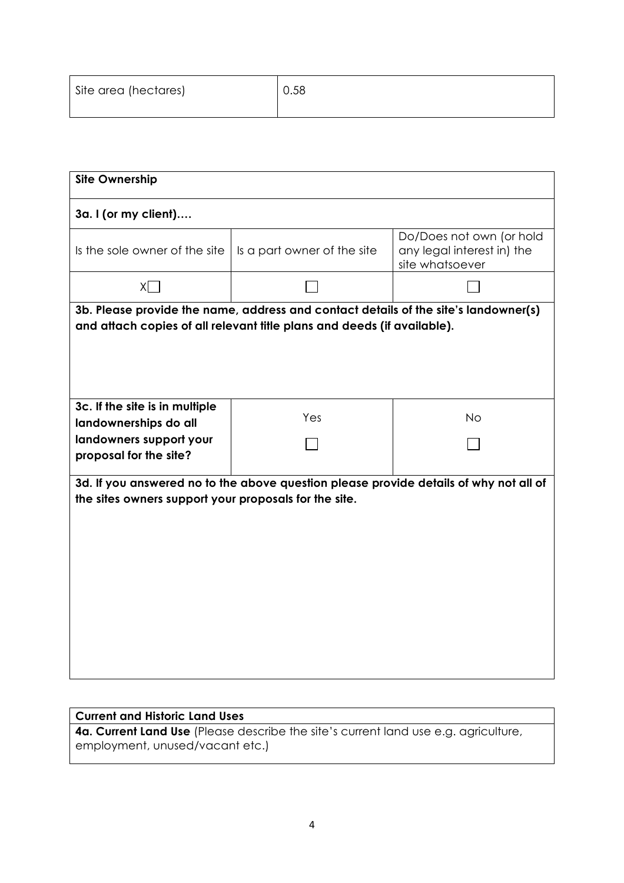| Site area (hectares) | 0.58 |
|----------------------|------|
|----------------------|------|

| <b>Site Ownership</b>                                 |                                                                                       |                                                                           |
|-------------------------------------------------------|---------------------------------------------------------------------------------------|---------------------------------------------------------------------------|
|                                                       |                                                                                       |                                                                           |
| 3a. I (or my client)                                  |                                                                                       |                                                                           |
| Is the sole owner of the site                         | Is a part owner of the site                                                           | Do/Does not own (or hold<br>any legal interest in) the<br>site whatsoever |
| X                                                     |                                                                                       |                                                                           |
|                                                       | 3b. Please provide the name, address and contact details of the site's landowner(s)   |                                                                           |
|                                                       | and attach copies of all relevant title plans and deeds (if available).               |                                                                           |
|                                                       |                                                                                       |                                                                           |
|                                                       |                                                                                       |                                                                           |
|                                                       |                                                                                       |                                                                           |
| 3c. If the site is in multiple                        | Yes                                                                                   | <b>No</b>                                                                 |
| landownerships do all                                 |                                                                                       |                                                                           |
| landowners support your<br>proposal for the site?     |                                                                                       |                                                                           |
|                                                       |                                                                                       |                                                                           |
|                                                       | 3d. If you answered no to the above question please provide details of why not all of |                                                                           |
| the sites owners support your proposals for the site. |                                                                                       |                                                                           |
|                                                       |                                                                                       |                                                                           |
|                                                       |                                                                                       |                                                                           |
|                                                       |                                                                                       |                                                                           |
|                                                       |                                                                                       |                                                                           |
|                                                       |                                                                                       |                                                                           |
|                                                       |                                                                                       |                                                                           |
|                                                       |                                                                                       |                                                                           |
|                                                       |                                                                                       |                                                                           |
|                                                       |                                                                                       |                                                                           |
|                                                       |                                                                                       |                                                                           |

# **Current and Historic Land Uses**

**4a. Current Land Use** (Please describe the site's current land use e.g. agriculture, employment, unused/vacant etc.)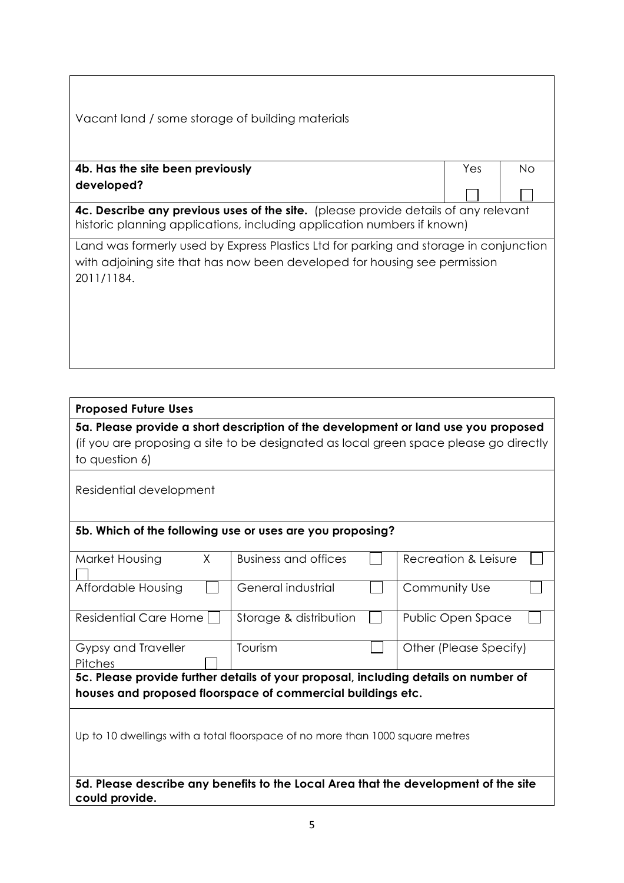| Vacant land / some storage of building materials                                                                                                                                  |     |     |  |
|-----------------------------------------------------------------------------------------------------------------------------------------------------------------------------------|-----|-----|--|
| 4b. Has the site been previously                                                                                                                                                  | Yes | No. |  |
| developed?                                                                                                                                                                        |     |     |  |
| <b>4c. Describe any previous uses of the site.</b> (please provide details of any relevant<br>historic planning applications, including application numbers if known)             |     |     |  |
| Land was formerly used by Express Plastics Ltd for parking and storage in conjunction<br>with adjoining site that has now been developed for housing see permission<br>2011/1184. |     |     |  |

## **Proposed Future Uses**

**5a. Please provide a short description of the development or land use you proposed** (if you are proposing a site to be designated as local green space please go directly to question 6)

Residential development

#### **5b. Which of the following use or uses are you proposing?**

| Market Housing                                                                      | Χ | <b>Business and offices</b> |  | Recreation & Leisure   |
|-------------------------------------------------------------------------------------|---|-----------------------------|--|------------------------|
|                                                                                     |   |                             |  |                        |
| Affordable Housing                                                                  |   | General industrial          |  | Community Use          |
|                                                                                     |   |                             |  |                        |
| Residential Care Home                                                               |   | Storage & distribution      |  | Public Open Space      |
|                                                                                     |   |                             |  |                        |
| <b>Gypsy and Traveller</b>                                                          |   | Tourism                     |  | Other (Please Specify) |
| <b>Pitches</b>                                                                      |   |                             |  |                        |
| 5c. Please provide further details of your proposal, including details on number of |   |                             |  |                        |
| houses and proposed floorspace of commercial buildings etc.                         |   |                             |  |                        |
|                                                                                     |   |                             |  |                        |

Up to 10 dwellings with a total floorspace of no more than 1000 square metres

**5d. Please describe any benefits to the Local Area that the development of the site could provide.**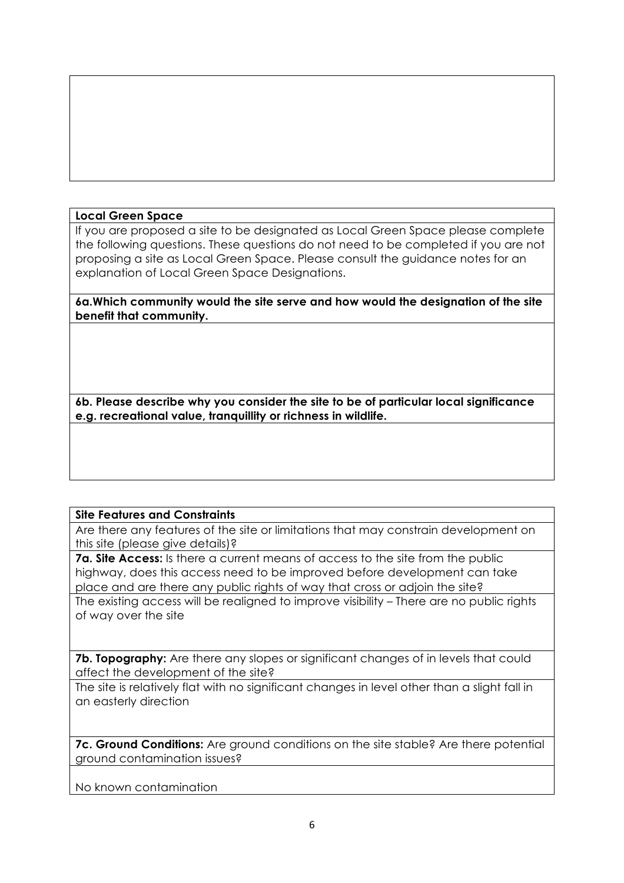### **Local Green Space**

If you are proposed a site to be designated as Local Green Space please complete the following questions. These questions do not need to be completed if you are not proposing a site as Local Green Space. Please consult the guidance notes for an explanation of Local Green Space Designations.

**6a.Which community would the site serve and how would the designation of the site benefit that community.** 

**6b. Please describe why you consider the site to be of particular local significance e.g. recreational value, tranquillity or richness in wildlife.** 

## **Site Features and Constraints**

Are there any features of the site or limitations that may constrain development on this site (please give details)?

**7a. Site Access:** Is there a current means of access to the site from the public highway, does this access need to be improved before development can take place and are there any public rights of way that cross or adjoin the site?

The existing access will be realigned to improve visibility – There are no public rights of way over the site

**7b. Topography:** Are there any slopes or significant changes of in levels that could affect the development of the site?

The site is relatively flat with no significant changes in level other than a slight fall in an easterly direction

**7c. Ground Conditions:** Are ground conditions on the site stable? Are there potential ground contamination issues?

No known contamination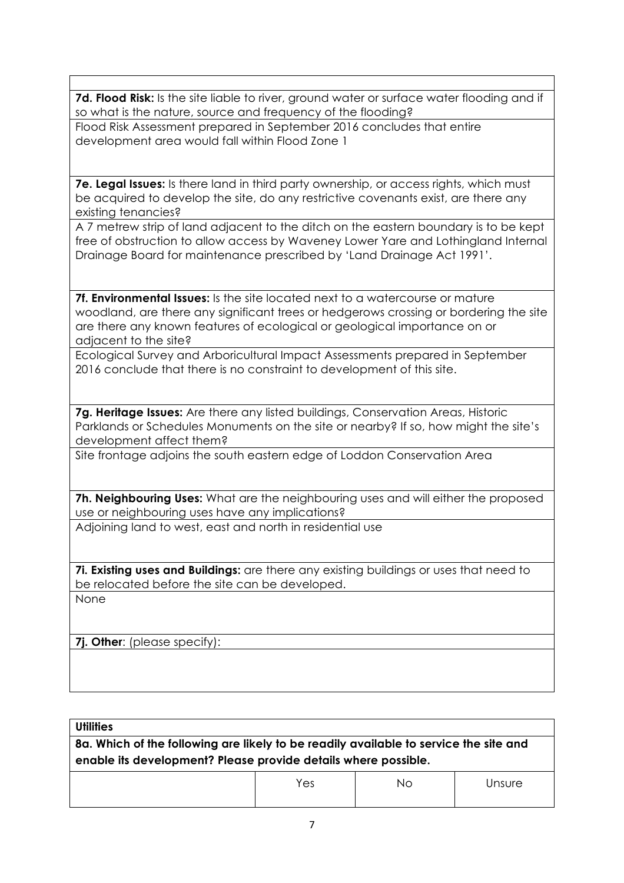7d. Flood Risk: Is the site liable to river, ground water or surface water flooding and if so what is the nature, source and frequency of the flooding?

Flood Risk Assessment prepared in September 2016 concludes that entire development area would fall within Flood Zone 1

**7e. Legal Issues:** Is there land in third party ownership, or access rights, which must be acquired to develop the site, do any restrictive covenants exist, are there any existing tenancies?

A 7 metrew strip of land adjacent to the ditch on the eastern boundary is to be kept free of obstruction to allow access by Waveney Lower Yare and Lothingland Internal Drainage Board for maintenance prescribed by 'Land Drainage Act 1991'.

**7f. Environmental Issues:** Is the site located next to a watercourse or mature woodland, are there any significant trees or hedgerows crossing or bordering the site are there any known features of ecological or geological importance on or adiacent to the site?

Ecological Survey and Arboricultural Impact Assessments prepared in September 2016 conclude that there is no constraint to development of this site.

**7g. Heritage Issues:** Are there any listed buildings, Conservation Areas, Historic Parklands or Schedules Monuments on the site or nearby? If so, how might the site's development affect them?

Site frontage adjoins the south eastern edge of Loddon Conservation Area

**7h. Neighbouring Uses:** What are the neighbouring uses and will either the proposed use or neighbouring uses have any implications?

Adjoining land to west, east and north in residential use

**7i. Existing uses and Buildings:** are there any existing buildings or uses that need to be relocated before the site can be developed.

None

**7j. Other**: (please specify):

| <b>Utilities</b>                                                                                                                                        |     |    |        |
|---------------------------------------------------------------------------------------------------------------------------------------------------------|-----|----|--------|
| 8a. Which of the following are likely to be readily available to service the site and<br>enable its development? Please provide details where possible. |     |    |        |
|                                                                                                                                                         | Yes | Nο | Unsure |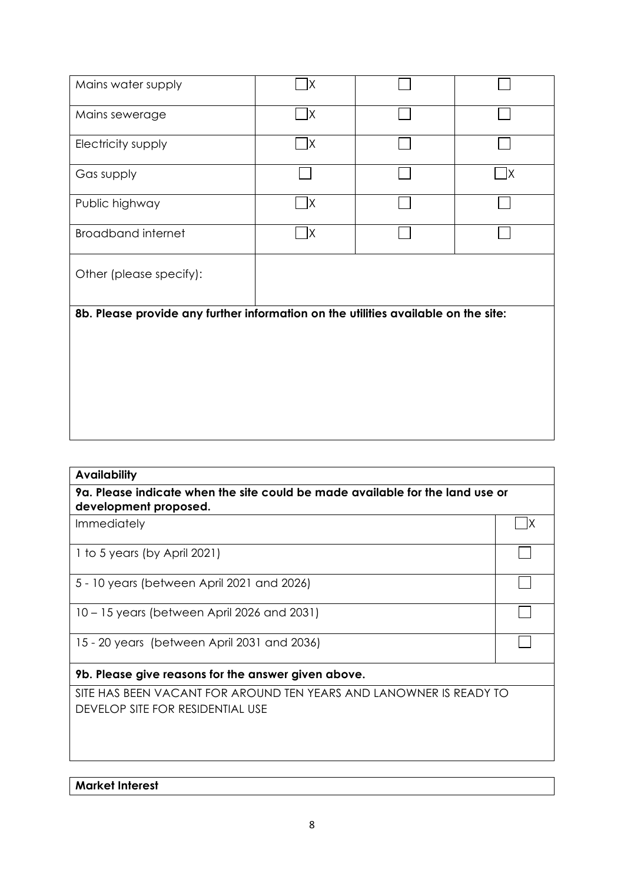| Mains water supply                                                                 | lх             |              |
|------------------------------------------------------------------------------------|----------------|--------------|
| Mains sewerage                                                                     | X              |              |
| Electricity supply                                                                 | $\overline{X}$ |              |
| Gas supply                                                                         |                | $\mathsf{X}$ |
| Public highway                                                                     | X              |              |
| <b>Broadband internet</b>                                                          | X              |              |
| Other (please specify):                                                            |                |              |
| 8b. Please provide any further information on the utilities available on the site: |                |              |
|                                                                                    |                |              |
|                                                                                    |                |              |
|                                                                                    |                |              |
|                                                                                    |                |              |

| <b>Availability</b>                                                                                    |  |
|--------------------------------------------------------------------------------------------------------|--|
| 9a. Please indicate when the site could be made available for the land use or<br>development proposed. |  |
| <b>Immediately</b>                                                                                     |  |
| 1 to 5 years (by April 2021)                                                                           |  |
| 5 - 10 years (between April 2021 and 2026)                                                             |  |
| 10 – 15 years (between April 2026 and 2031)                                                            |  |
| 15 - 20 years (between April 2031 and 2036)                                                            |  |
| 9b. Please give reasons for the answer given above.                                                    |  |
| SITE HAS BEEN VACANT FOR AROUND TEN YEARS AND LANOWNER IS READY TO<br>DEVELOP SITE FOR RESIDENTIAL USE |  |
|                                                                                                        |  |

# **Market Interest**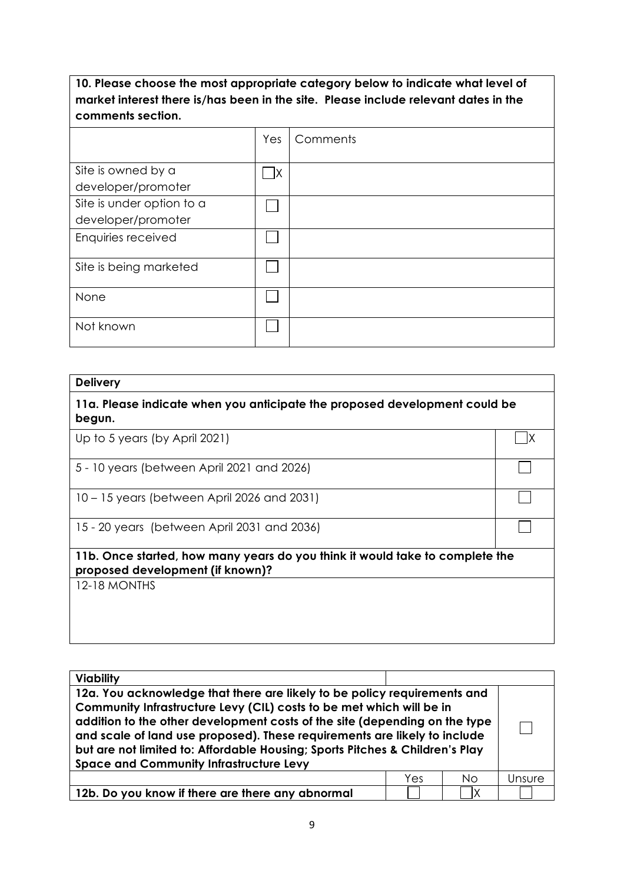**10. Please choose the most appropriate category below to indicate what level of market interest there is/has been in the site. Please include relevant dates in the comments section.**

|                                                 | Yes | Comments |
|-------------------------------------------------|-----|----------|
| Site is owned by a<br>developer/promoter        | lх  |          |
| Site is under option to a<br>developer/promoter |     |          |
| Enquiries received                              |     |          |
| Site is being marketed                          |     |          |
| None                                            |     |          |
| Not known                                       |     |          |

| <b>Delivery</b>                                                                                                  |  |  |
|------------------------------------------------------------------------------------------------------------------|--|--|
| 11a. Please indicate when you anticipate the proposed development could be<br>begun.                             |  |  |
| Up to 5 years (by April 2021)                                                                                    |  |  |
| 5 - 10 years (between April 2021 and 2026)                                                                       |  |  |
| $10 - 15$ years (between April 2026 and 2031)                                                                    |  |  |
| 15 - 20 years (between April 2031 and 2036)                                                                      |  |  |
| 11b. Once started, how many years do you think it would take to complete the<br>proposed development (if known)? |  |  |
| 12-18 MONTHS                                                                                                     |  |  |

| <b>Viability</b>                                                                                                                                                                                                                                                                                                                                                                                                                              |     |    |        |
|-----------------------------------------------------------------------------------------------------------------------------------------------------------------------------------------------------------------------------------------------------------------------------------------------------------------------------------------------------------------------------------------------------------------------------------------------|-----|----|--------|
| 12a. You acknowledge that there are likely to be policy requirements and<br>Community Infrastructure Levy (CIL) costs to be met which will be in<br>addition to the other development costs of the site (depending on the type<br>and scale of land use proposed). These requirements are likely to include<br>but are not limited to: Affordable Housing; Sports Pitches & Children's Play<br><b>Space and Community Infrastructure Levy</b> |     |    |        |
|                                                                                                                                                                                                                                                                                                                                                                                                                                               | Yes | Nο | Unsure |
| 12b. Do you know if there are there any abnormal                                                                                                                                                                                                                                                                                                                                                                                              |     | ΙX |        |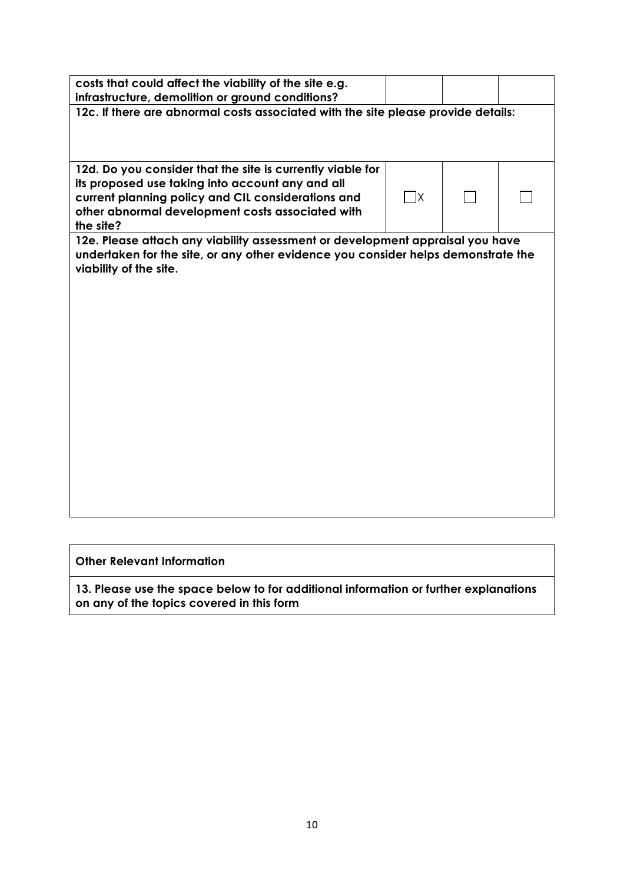| costs that could affect the viability of the site e.g.<br>infrastructure, demolition or ground conditions?                                                                                                                            |  |  |
|---------------------------------------------------------------------------------------------------------------------------------------------------------------------------------------------------------------------------------------|--|--|
| 12c. If there are abnormal costs associated with the site please provide details:                                                                                                                                                     |  |  |
| 12d. Do you consider that the site is currently viable for<br>its proposed use taking into account any and all<br>current planning policy and CIL considerations and<br>other abnormal development costs associated with<br>the site? |  |  |
| 12e. Please attach any viability assessment or development appraisal you have<br>undertaken for the site, or any other evidence you consider helps demonstrate the<br>viability of the site.                                          |  |  |

#### **Other Relevant Information**

**13. Please use the space below to for additional information or further explanations on any of the topics covered in this form**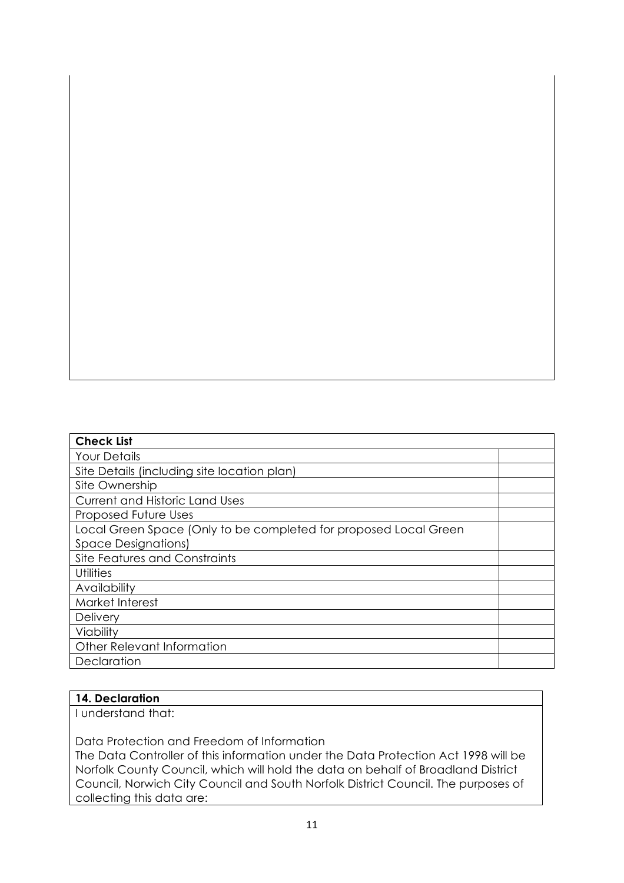| <b>Check List</b>                                                |  |  |
|------------------------------------------------------------------|--|--|
| <b>Your Details</b>                                              |  |  |
| Site Details (including site location plan)                      |  |  |
| Site Ownership                                                   |  |  |
| <b>Current and Historic Land Uses</b>                            |  |  |
| <b>Proposed Future Uses</b>                                      |  |  |
| Local Green Space (Only to be completed for proposed Local Green |  |  |
| <b>Space Designations)</b>                                       |  |  |
| Site Features and Constraints                                    |  |  |
| <b>Utilities</b>                                                 |  |  |
| Availability                                                     |  |  |
| Market Interest                                                  |  |  |
| <b>Delivery</b>                                                  |  |  |
| Viability                                                        |  |  |
| Other Relevant Information                                       |  |  |
| Declaration                                                      |  |  |

# **14. Declaration**

I understand that:

Data Protection and Freedom of Information The Data Controller of this information under the Data Protection Act 1998 will be Norfolk County Council, which will hold the data on behalf of Broadland District Council, Norwich City Council and South Norfolk District Council. The purposes of collecting this data are: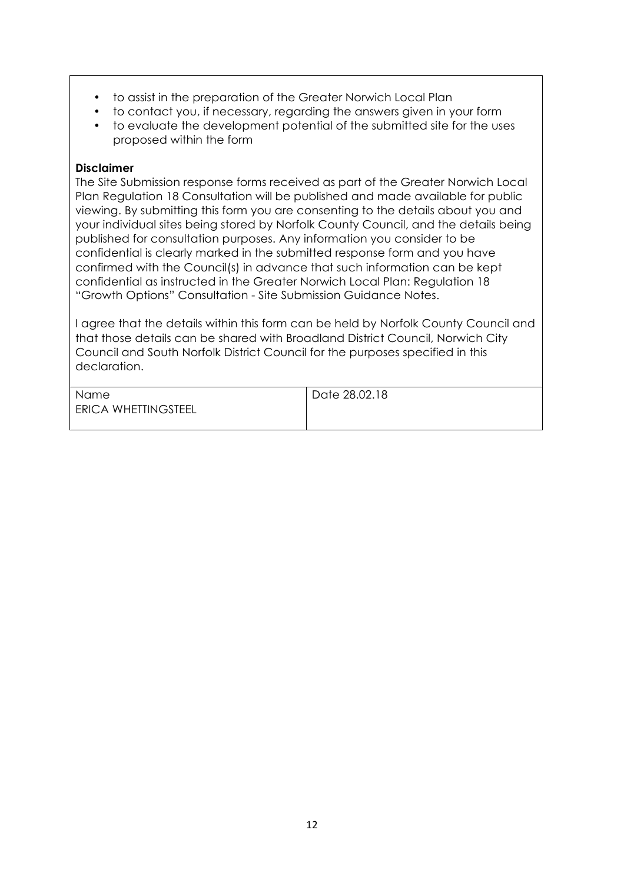- to assist in the preparation of the Greater Norwich Local Plan
- to contact you, if necessary, regarding the answers given in your form
- to evaluate the development potential of the submitted site for the uses proposed within the form

#### **Disclaimer**

The Site Submission response forms received as part of the Greater Norwich Local Plan Regulation 18 Consultation will be published and made available for public viewing. By submitting this form you are consenting to the details about you and your individual sites being stored by Norfolk County Council, and the details being published for consultation purposes. Any information you consider to be confidential is clearly marked in the submitted response form and you have confirmed with the Council(s) in advance that such information can be kept confidential as instructed in the Greater Norwich Local Plan: Regulation 18 "Growth Options" Consultation - Site Submission Guidance Notes.

I agree that the details within this form can be held by Norfolk County Council and that those details can be shared with Broadland District Council, Norwich City Council and South Norfolk District Council for the purposes specified in this declaration.

| Name                       | Date 28.02.18 |
|----------------------------|---------------|
| <b>ERICA WHETTINGSTEEL</b> |               |